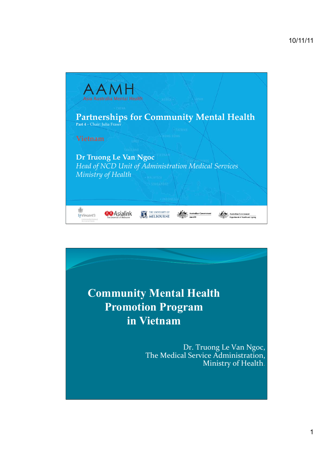

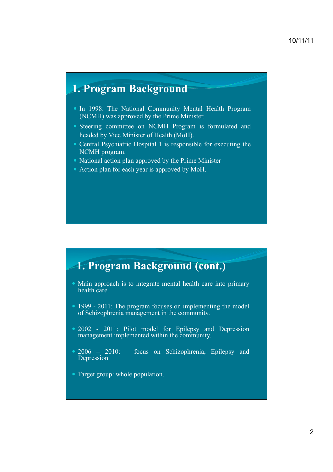## **1. Program Background**

- In 1998: The National Community Mental Health Program (NCMH) was approved by the Prime Minister.
- ! Steering committee on NCMH Program is formulated and headed by Vice Minister of Health (MoH).
- Central Psychiatric Hospital 1 is responsible for executing the NCMH program.
- National action plan approved by the Prime Minister
- Action plan for each year is approved by MoH.

## **1. Program Background (cont.)**

- Main approach is to integrate mental health care into primary health care.
- 1999 2011: The program focuses on implementing the model of Schizophrenia management in the community.
- 2002 2011: Pilot model for Epilepsy and Depression management implemented within the community.
- 2006 2010: focus on Schizophrenia, Epilepsy and Depression
- Target group: whole population.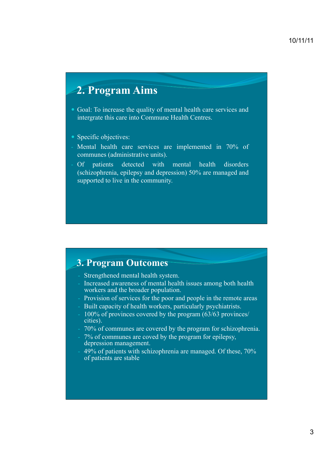# **2. Program Aims**

- Goal: To increase the quality of mental health care services and intergrate this care into Commune Health Centres.
- Specific objectives:
- Mental health care services are implemented in 70% of communes (administrative units).
- Of patients detected with mental health disorders (schizophrenia, epilepsy and depression) 50% are managed and supported to live in the community.

### **3. Program Outcomes**

- Strengthened mental health system.
- Increased awareness of mental health issues among both health workers and the broader population.
- Provision of services for the poor and people in the remote areas
- Built capacity of health workers, particularly psychiatrists.
- 100% of provinces covered by the program (63/63 provinces/ cities).
- 70% of communes are covered by the program for schizophrenia.
- 7% of communes are coved by the program for epilepsy. depression management.
- 49% of patients with schizophrenia are managed. Of these, 70% of patients are stable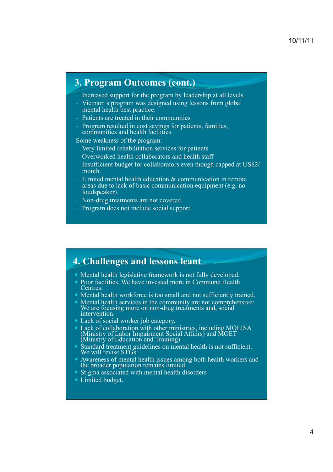### **3. Program Outcomes (cont.)**

Increased support for the program by leadership at all levels.

- Vietnam's program was designed using lessons from global mental health best practice.
- Patients are treated in their communities
- Program resulted in cost savings for patients, families, communities and health facilities.

Some weakness of the program:

- Very limited rehabilitation services for patients
- Overworked health collaborators and health staff
- Insufficient budget for collaborators even though capped at US\$2/ month.
- Limited mental health education & communication in remote areas due to lack of basic communication equipment (e.g. no loudspeaker).
- Non-drug treatments are not covered.
- Program does not include social support.

### **4. Challenges and lessons leant**

- Mental health legislative framework is not fully developed.
- Poor facilities. We have invested more in Commune Health Centres.
- ! Mental health workforce is too small and not sufficiently trained.
- ! Mental health services in the community are not comprehensive: We are focusing more on non-drug treatments and, social intervention.
- Lack of social worker job category.
- ! Lack of collaboration with other ministries, including MOLISA (Ministry of Labor Impairment Social Affairs) and MOET (Ministry of Education and Training).
- Standard treatment guidelines on mental health is not sufficient. We will revise STGS.
- ! Awareness of mental health issues among both health workers and the broader population remains limited
- Stigma associated with mental health disorders
- Limited budget.